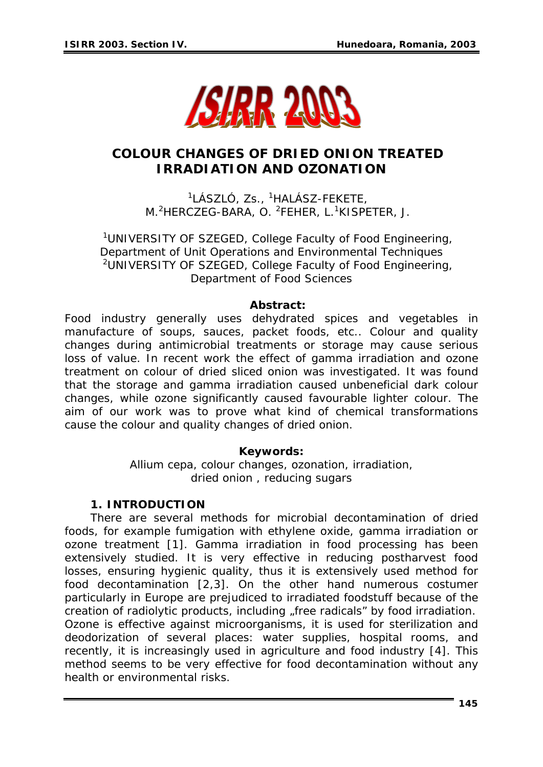

# **COLOUR CHANGES OF DRIED ONION TREATED IRRADIATION AND OZONATION**

<sup>1</sup>LÁSZLÓ, Zs., <sup>1</sup>HALÁSZ-FEKETE, M.<sup>2</sup>HERCZEG-BARA, O. <sup>2</sup>FEHER, L.<sup>1</sup>KISPETER, J.

<sup>1</sup>UNIVERSITY OF SZEGED, College Faculty of Food Engineering, Department of Unit Operations and Environmental Techniques <sup>2</sup>UNIVERSITY OF SZEGED, College Faculty of Food Engineering, Department of Food Sciences

#### *Abstract:*

*Food industry generally uses dehydrated spices and vegetables in manufacture of soups, sauces, packet foods, etc.. Colour and quality changes during antimicrobial treatments or storage may cause serious*  loss of value. In recent work the effect of gamma irradiation and ozone *treatment on colour of dried sliced onion was investigated. It was found that the storage and gamma irradiation caused unbeneficial dark colour changes, while ozone significantly caused favourable lighter colour. The aim of our work was to prove what kind of chemical transformations cause the colour and quality changes of dried onion.* 

### *Keywords:*

*Allium cepa,* colour changes, ozonation, irradiation, dried onion , reducing sugars

#### **1. INTRODUCTION**

There are several methods for microbial decontamination of dried foods, for example fumigation with ethylene oxide, gamma irradiation or ozone treatment [1]. Gamma irradiation in food processing has been extensively studied. It is very effective in reducing postharvest food losses, ensuring hygienic quality, thus it is extensively used method for food decontamination [2,3]. On the other hand numerous costumer particularly in Europe are prejudiced to irradiated foodstuff because of the creation of radiolytic products, including "free radicals" by food irradiation. Ozone is effective against microorganisms, it is used for sterilization and deodorization of several places: water supplies, hospital rooms, and recently, it is increasingly used in agriculture and food industry [4]. This method seems to be very effective for food decontamination without any health or environmental risks.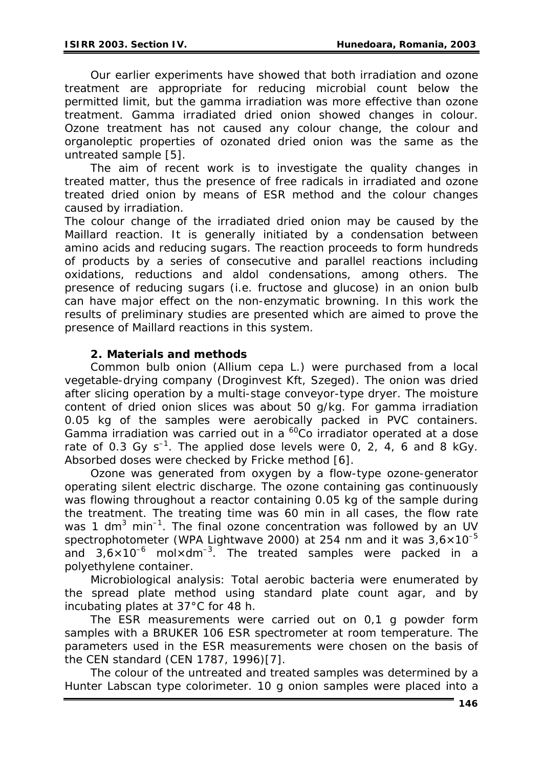Our earlier experiments have showed that both irradiation and ozone treatment are appropriate for reducing microbial count below the permitted limit, but the gamma irradiation was more effective than ozone treatment. Gamma irradiated dried onion showed changes in colour. Ozone treatment has not caused any colour change, the colour and organoleptic properties of ozonated dried onion was the same as the untreated sample [5].

The aim of recent work is to investigate the quality changes in treated matter, thus the presence of free radicals in irradiated and ozone treated dried onion by means of ESR method and the colour changes caused by irradiation.

The colour change of the irradiated dried onion may be caused by the Maillard reaction. It is generally initiated by a condensation between amino acids and reducing sugars. The reaction proceeds to form hundreds of products by a series of consecutive and parallel reactions including oxidations, reductions and aldol condensations, among others. The presence of reducing sugars (i.e. fructose and glucose) in an onion bulb can have major effect on the non-enzymatic browning. In this work the results of preliminary studies are presented which are aimed to prove the presence of Maillard reactions in this system.

### **2. Materials and methods**

Common bulb onion (*Allium cepa L.)* were purchased from a local vegetable-drying company (Droginvest Kft, Szeged). The onion was dried after slicing operation by a multi-stage conveyor-type dryer. The moisture content of dried onion slices was about 50 g/kg. For gamma irradiation 0.05 kg of the samples were aerobically packed in PVC containers. Gamma irradiation was carried out in a  ${}^{60}$ Co irradiator operated at a dose rate of 0.3 Gy  $s^{-1}$ . The applied dose levels were 0, 2, 4, 6 and 8 kGy. Absorbed doses were checked by Fricke method [6].

Ozone was generated from oxygen by a flow-type ozone-generator operating silent electric discharge. The ozone containing gas continuously was flowing throughout a reactor containing 0.05 kg of the sample during the treatment. The treating time was 60 min in all cases, the flow rate was 1 dm<sup>3</sup> min<sup>-1</sup>. The final ozone concentration was followed by an UV spectrophotometer (WPA Lightwave 2000) at 254 nm and it was  $3.6 \times 10^{-5}$ and  $3.6 \times 10^{-6}$  mol $\times$ dm<sup>-3</sup>. The treated samples were packed in a polyethylene container.

Microbiological analysis: Total aerobic bacteria were enumerated by the spread plate method using standard plate count agar, and by incubating plates at 37°C for 48 h.

The ESR measurements were carried out on 0,1 g powder form samples with a BRUKER 106 ESR spectrometer at room temperature. The parameters used in the ESR measurements were chosen on the basis of the CEN standard (CEN 1787, 1996)[7].

The colour of the untreated and treated samples was determined by a Hunter Labscan type colorimeter. 10 g onion samples were placed into a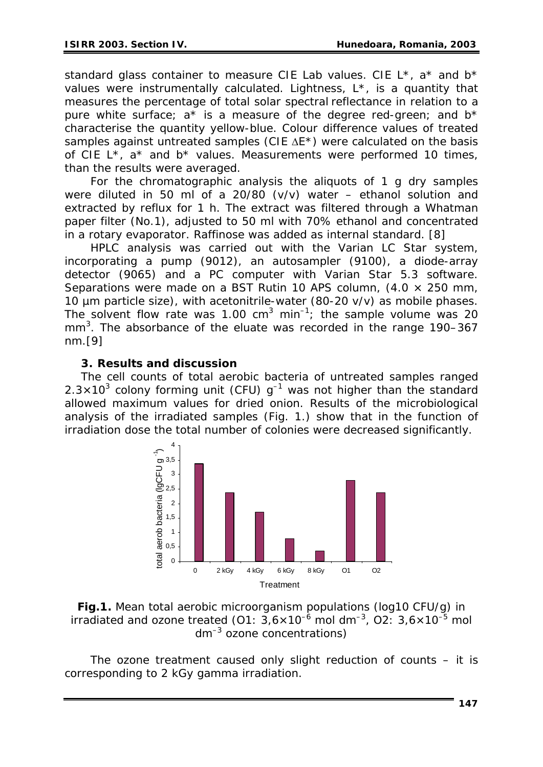standard glass container to measure CIE Lab values. CIE  $L^*$ , a<sup>\*</sup> and  $b^*$ values were instrumentally calculated. Lightness, L\*, is a quantity that measures the percentage of total solar spectral reflectance in relation to a pure white surface;  $a^*$  is a measure of the degree red-green; and  $b^*$ characterise the quantity yellow-blue. Colour difference values of treated samples against untreated samples (CIE  $\Delta$ E<sup>\*</sup>) were calculated on the basis of CIE  $L^*$ ,  $a^*$  and  $b^*$  values. Measurements were performed 10 times, than the results were averaged.

For the chromatographic analysis the aliquots of 1 g dry samples were diluted in 50 ml of a 20/80 (v/v) water – ethanol solution and extracted by reflux for 1 h. The extract was filtered through a Whatman paper filter (No.1), adjusted to 50 ml with 70% ethanol and concentrated in a rotary evaporator. Raffinose was added as internal standard. [8]

HPLC analysis was carried out with the Varian LC Star system, incorporating a pump (9012), an autosampler (9100), a diode-array detector (9065) and a PC computer with Varian Star 5.3 software. Separations were made on a BST Rutin 10 APS column,  $(4.0 \times 250 \text{ mm})$ 10 µm particle size), with acetonitrile-water (80-20 v/v) as mobile phases. The solvent flow rate was 1.00  $cm<sup>3</sup>$  min<sup>-1</sup>; the sample volume was 20 mm<sup>3</sup>. The absorbance of the eluate was recorded in the range 190-367 nm.[9]

### **3. Results and discussion**

The cell counts of total aerobic bacteria of untreated samples ranged  $2.3 \times 10^3$  colony forming unit (CFU)  $g^{-1}$  was not higher than the standard allowed maximum values for dried onion. Results of the microbiological analysis of the irradiated samples (Fig. 1.) show that in the function of irradiation dose the total number of colonies were decreased significantly.



*Fig.1. Mean total aerobic microorganism populations (log10 CFU/g) in irradiated and ozone treated (O1:*  $3.6 \times 10^{-6}$  *mol dm<sup>-3</sup>, O2:*  $3.6 \times 10^{-5}$  *mol dm–3 ozone concentrations)* 

The ozone treatment caused only slight reduction of counts – it is corresponding to 2 kGy gamma irradiation.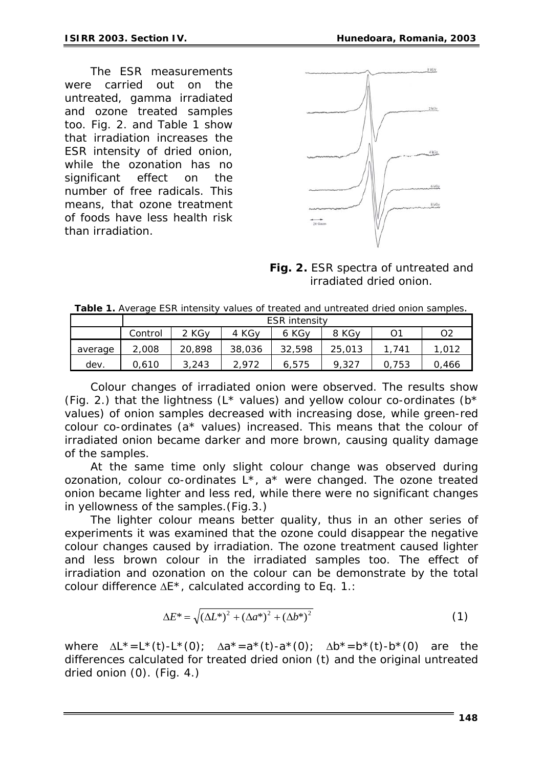The ESR measurements were carried out on the untreated, gamma irradiated and ozone treated samples too. Fig. 2. and Table 1 show that irradiation increases the ESR intensity of dried onion, while the ozonation has no significant effect on the number of free radicals. This means, that ozone treatment of foods have less health risk than irradiation.



*Fig. 2. ESR spectra of untreated and irradiated dried onion.* 

|         | ESR intensity |                   |                   |        |        |       |       |
|---------|---------------|-------------------|-------------------|--------|--------|-------|-------|
|         | Control       | 2 KG <sub>V</sub> | 4 KG <sub>V</sub> | 6 KGv  | 8 KGy  | O.    | O2    |
| average | 2,008         | 20,898            | 38,036            | 32,598 | 25,013 | 1.741 | 1.012 |
| dev.    | 0.610         | 3,243             | 2.972             | 6.575  | 9.327  | 0.753 | 0.466 |

*Table 1. Average ESR intensity values of treated and untreated dried onion samples.* 

Colour changes of irradiated onion were observed. The results show (Fig. 2.) that the lightness ( $L^*$  values) and yellow colour co-ordinates ( $b^*$ values) of onion samples decreased with increasing dose, while green-red colour co-ordinates (a\* values) increased. This means that the colour of irradiated onion became darker and more brown, causing quality damage of the samples.

At the same time only slight colour change was observed during ozonation, colour co-ordinates L\*, a\* were changed. The ozone treated onion became lighter and less red, while there were no significant changes in yellowness of the samples.(Fig.3.)

The lighter colour means better quality, thus in an other series of experiments it was examined that the ozone could disappear the negative colour changes caused by irradiation. The ozone treatment caused lighter and less brown colour in the irradiated samples too. The effect of irradiation and ozonation on the colour can be demonstrate by the total colour difference ΔE\*, calculated according to Eq. 1.:

$$
\Delta E^* = \sqrt{(\Delta L^*)^2 + (\Delta a^*)^2 + (\Delta b^*)^2}
$$
 (1)

where  $\Delta L^* = L^*(t) - L^*(0)$ ;  $\Delta a^* = a^*(t) - a^*(0)$ ;  $\Delta b^* = b^*(t) - b^*(0)$  are the differences calculated for treated dried onion (t) and the original untreated dried onion (0). (Fig. 4.)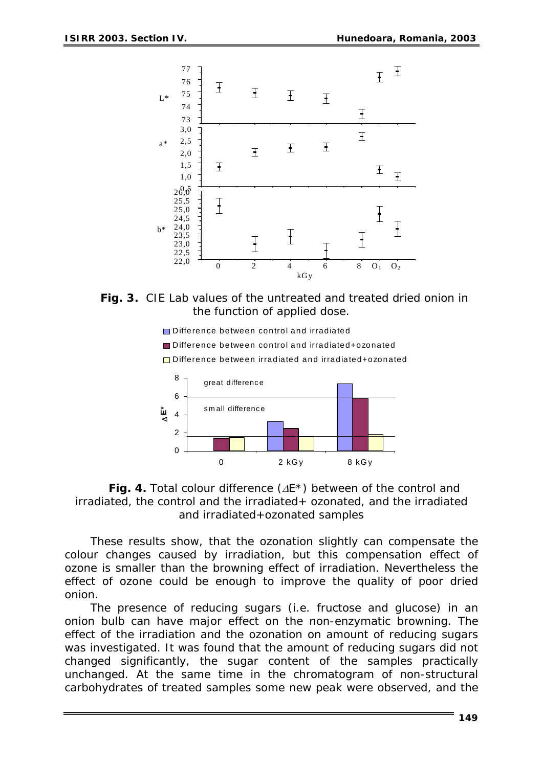

*Fig. 3. CIE Lab values of the untreated and treated dried onion in the function of applied dose.* 

■Difference between control and irradiated

■ Difference between control and irradiated+ozonated

□ Difference between irradiated and irradiated+ozonated



*Fig. 4. Total colour difference (*Δ*E\*) between of the control and irradiated, the control and the irradiated+ ozonated, and the irradiated and irradiated+ozonated samples* 

These results show, that the ozonation slightly can compensate the colour changes caused by irradiation, but this compensation effect of ozone is smaller than the browning effect of irradiation. Nevertheless the effect of ozone could be enough to improve the quality of poor dried onion.

The presence of reducing sugars (i.e. fructose and glucose) in an onion bulb can have major effect on the non-enzymatic browning. The effect of the irradiation and the ozonation on amount of reducing sugars was investigated. It was found that the amount of reducing sugars did not changed significantly, the sugar content of the samples practically unchanged. At the same time in the chromatogram of non-structural carbohydrates of treated samples some new peak were observed, and the